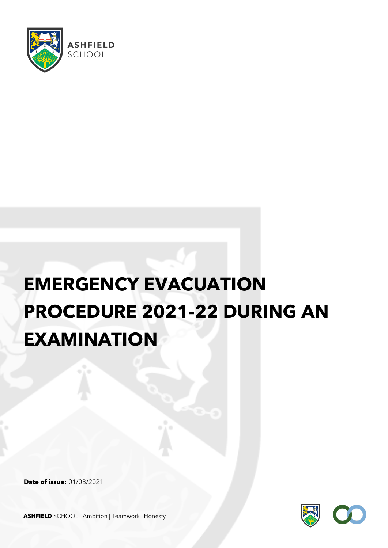

## **EMERGENCY EVACUATION PROCEDURE 2021-22 DURING AN EXAMINATION**

**Date of issue:** 01/08/2021



**ASHFIELD** SCHOOL Ambition | Teamwork | Honesty